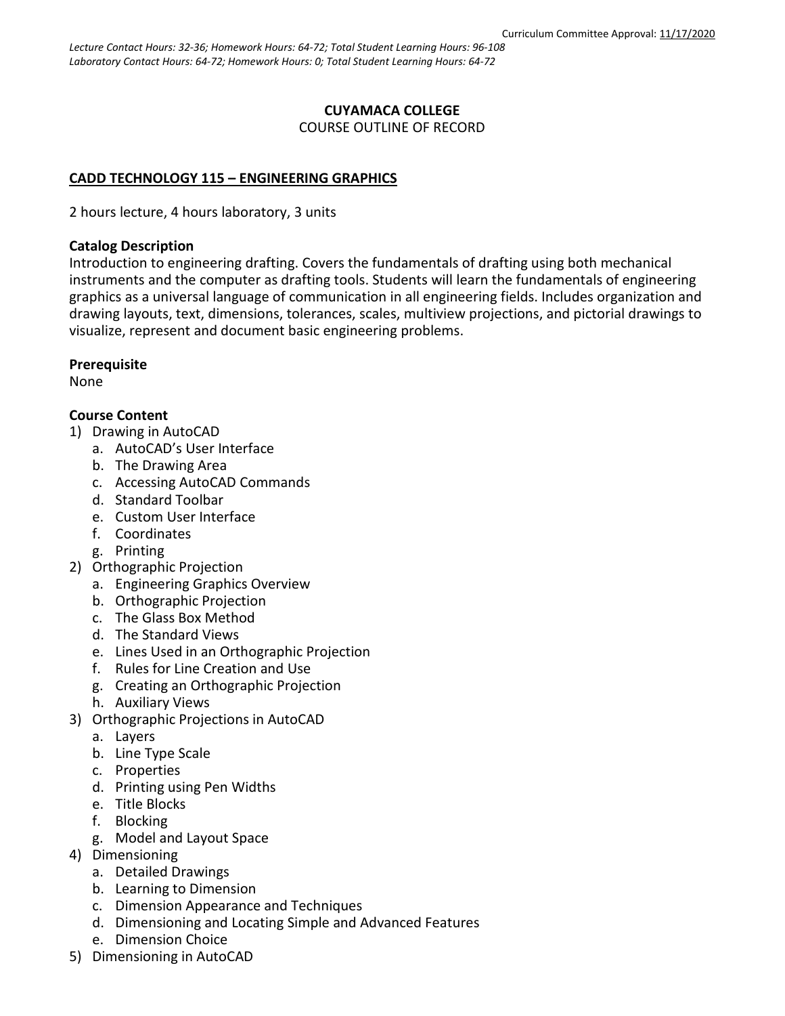### **CUYAMACA COLLEGE** COURSE OUTLINE OF RECORD

# **CADD TECHNOLOGY 115 – ENGINEERING GRAPHICS**

2 hours lecture, 4 hours laboratory, 3 units

### **Catalog Description**

Introduction to engineering drafting. Covers the fundamentals of drafting using both mechanical instruments and the computer as drafting tools. Students will learn the fundamentals of engineering graphics as a universal language of communication in all engineering fields. Includes organization and drawing layouts, text, dimensions, tolerances, scales, multiview projections, and pictorial drawings to visualize, represent and document basic engineering problems.

## **Prerequisite**

None

# **Course Content**

- 1) Drawing in AutoCAD
	- a. AutoCAD's User Interface
	- b. The Drawing Area
	- c. Accessing AutoCAD Commands
	- d. Standard Toolbar
	- e. Custom User Interface
	- f. Coordinates
	- g. Printing
- 2) Orthographic Projection
	- a. Engineering Graphics Overview
	- b. Orthographic Projection
	- c. The Glass Box Method
	- d. The Standard Views
	- e. Lines Used in an Orthographic Projection
	- f. Rules for Line Creation and Use
	- g. Creating an Orthographic Projection
	- h. Auxiliary Views
- 3) Orthographic Projections in AutoCAD
	- a. Layers
	- b. Line Type Scale
	- c. Properties
	- d. Printing using Pen Widths
	- e. Title Blocks
	- f. Blocking
	- g. Model and Layout Space
- 4) Dimensioning
	- a. Detailed Drawings
	- b. Learning to Dimension
	- c. Dimension Appearance and Techniques
	- d. Dimensioning and Locating Simple and Advanced Features
	- e. Dimension Choice
- 5) Dimensioning in AutoCAD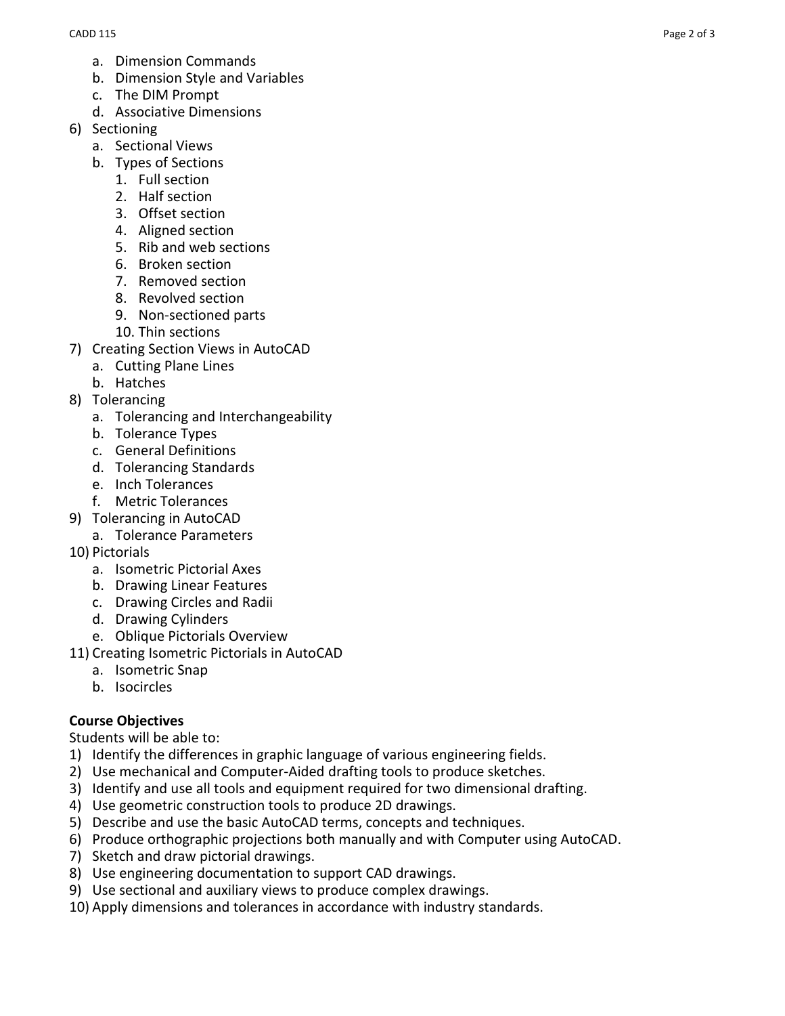- a. Dimension Commands
- b. Dimension Style and Variables
- c. The DIM Prompt
- d. Associative Dimensions
- 6) Sectioning
	- a. Sectional Views
	- b. Types of Sections
		- 1. Full section
		- 2. Half section
		- 3. Offset section
		- 4. Aligned section
		- 5. Rib and web sections
		- 6. Broken section
		- 7. Removed section
		- 8. Revolved section
		- 9. Non-sectioned parts
		- 10. Thin sections
- 7) Creating Section Views in AutoCAD
	- a. Cutting Plane Lines
	- b. Hatches
- 8) Tolerancing
	- a. Tolerancing and Interchangeability
	- b. Tolerance Types
	- c. General Definitions
	- d. Tolerancing Standards
	- e. Inch Tolerances
	- f. Metric Tolerances
- 9) Tolerancing in AutoCAD
	- a. Tolerance Parameters
- 10) Pictorials
	- a. Isometric Pictorial Axes
	- b. Drawing Linear Features
	- c. Drawing Circles and Radii
	- d. Drawing Cylinders
	- e. Oblique Pictorials Overview
- 11) Creating Isometric Pictorials in AutoCAD
	- a. Isometric Snap
	- b. Isocircles

#### **Course Objectives**

Students will be able to:

- 1) Identify the differences in graphic language of various engineering fields.
- 2) Use mechanical and Computer-Aided drafting tools to produce sketches.
- 3) Identify and use all tools and equipment required for two dimensional drafting.
- 4) Use geometric construction tools to produce 2D drawings.
- 5) Describe and use the basic AutoCAD terms, concepts and techniques.
- 6) Produce orthographic projections both manually and with Computer using AutoCAD.
- 7) Sketch and draw pictorial drawings.
- 8) Use engineering documentation to support CAD drawings.
- 9) Use sectional and auxiliary views to produce complex drawings.
- 10) Apply dimensions and tolerances in accordance with industry standards.